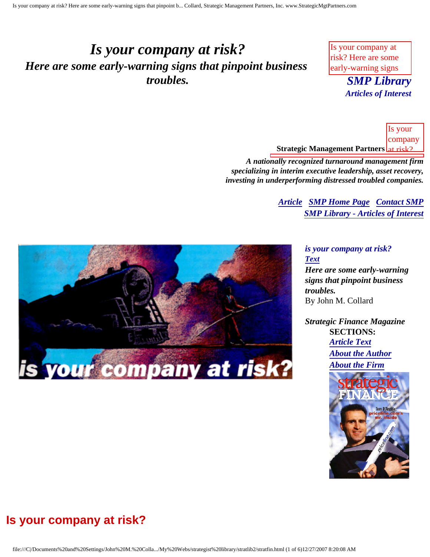## <span id="page-0-4"></span><span id="page-0-3"></span>*Is your company at risk? Here are some early-warning signs that pinpoint business troubles.*

Is your company at risk? Here are some early-warning signs

Inc., published by

**SMP Library**  $t_{\text{total}}$  and  $t_{\text{total}}$ Collard, Strategic *Articles of Interest*

 $\mathbf{S}$  strategic  $\mathbf{S}$ **Strategic Management Partners** at risk? Is your company

Here are Is your company at risk? Here are some *A nationally recognized turnaround management firm specializing in interim executive leadership, asset recovery, investing in underperforming distressed troubled companies.* 

> **[Article](#page-0-0) SMP** Home Page *[Contact SMP](#page-4-0) [SMP Library - Articles of Interest](http://members.aol.com/stratlib3/libindx.html#TOP)* business in the control of the control of the control of the control of the control of the control of the control of the control of the control of the control of the control of the control of the control of the control of



published *Strategic Finance Magazine*  $\mathbf{r}$ **SECTIONS:** *[Article Text](#page-0-1) [About the Author](#page-3-0) [About the Firm](#page-3-1)*



<span id="page-0-2"></span><span id="page-0-0"></span>

### <span id="page-0-1"></span>**Is your company at risk?**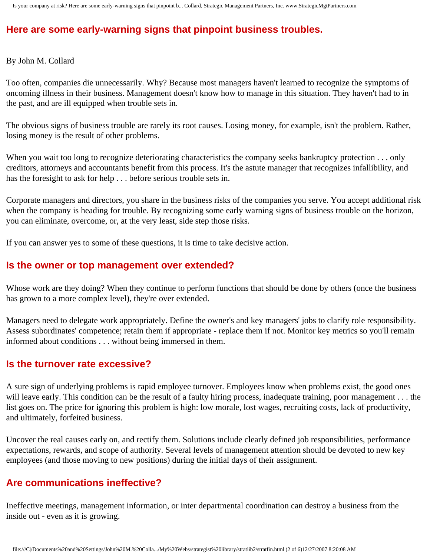### **Here are some early-warning signs that pinpoint business troubles.**

By John M. Collard

Too often, companies die unnecessarily. Why? Because most managers haven't learned to recognize the symptoms of oncoming illness in their business. Management doesn't know how to manage in this situation. They haven't had to in the past, and are ill equipped when trouble sets in.

The obvious signs of business trouble are rarely its root causes. Losing money, for example, isn't the problem. Rather, losing money is the result of other problems.

When you wait too long to recognize deteriorating characteristics the company seeks bankruptcy protection . . . only creditors, attorneys and accountants benefit from this process. It's the astute manager that recognizes infallibility, and has the foresight to ask for help . . . before serious trouble sets in.

Corporate managers and directors, you share in the business risks of the companies you serve. You accept additional risk when the company is heading for trouble. By recognizing some early warning signs of business trouble on the horizon, you can eliminate, overcome, or, at the very least, side step those risks.

If you can answer yes to some of these questions, it is time to take decisive action.

#### **Is the owner or top management over extended?**

Whose work are they doing? When they continue to perform functions that should be done by others (once the business has grown to a more complex level), they're over extended.

Managers need to delegate work appropriately. Define the owner's and key managers' jobs to clarify role responsibility. Assess subordinates' competence; retain them if appropriate - replace them if not. Monitor key metrics so you'll remain informed about conditions . . . without being immersed in them.

#### **Is the turnover rate excessive?**

A sure sign of underlying problems is rapid employee turnover. Employees know when problems exist, the good ones will leave early. This condition can be the result of a faulty hiring process, inadequate training, poor management . . . the list goes on. The price for ignoring this problem is high: low morale, lost wages, recruiting costs, lack of productivity, and ultimately, forfeited business.

Uncover the real causes early on, and rectify them. Solutions include clearly defined job responsibilities, performance expectations, rewards, and scope of authority. Several levels of management attention should be devoted to new key employees (and those moving to new positions) during the initial days of their assignment.

#### **Are communications ineffective?**

Ineffective meetings, management information, or inter departmental coordination can destroy a business from the inside out - even as it is growing.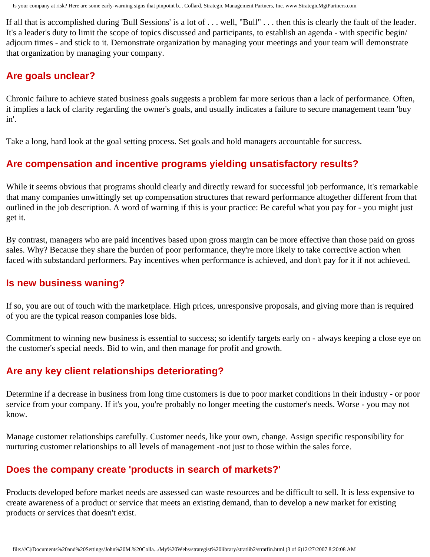If all that is accomplished during 'Bull Sessions' is a lot of . . . well, "Bull" . . . then this is clearly the fault of the leader. It's a leader's duty to limit the scope of topics discussed and participants, to establish an agenda - with specific begin/ adjourn times - and stick to it. Demonstrate organization by managing your meetings and your team will demonstrate that organization by managing your company.

#### **Are goals unclear?**

Chronic failure to achieve stated business goals suggests a problem far more serious than a lack of performance. Often, it implies a lack of clarity regarding the owner's goals, and usually indicates a failure to secure management team 'buy in'.

Take a long, hard look at the goal setting process. Set goals and hold managers accountable for success.

### **Are compensation and incentive programs yielding unsatisfactory results?**

While it seems obvious that programs should clearly and directly reward for successful job performance, it's remarkable that many companies unwittingly set up compensation structures that reward performance altogether different from that outlined in the job description. A word of warning if this is your practice: Be careful what you pay for - you might just get it.

By contrast, managers who are paid incentives based upon gross margin can be more effective than those paid on gross sales. Why? Because they share the burden of poor performance, they're more likely to take corrective action when faced with substandard performers. Pay incentives when performance is achieved, and don't pay for it if not achieved.

#### **Is new business waning?**

If so, you are out of touch with the marketplace. High prices, unresponsive proposals, and giving more than is required of you are the typical reason companies lose bids.

Commitment to winning new business is essential to success; so identify targets early on - always keeping a close eye on the customer's special needs. Bid to win, and then manage for profit and growth.

### **Are any key client relationships deteriorating?**

Determine if a decrease in business from long time customers is due to poor market conditions in their industry - or poor service from your company. If it's you, you're probably no longer meeting the customer's needs. Worse - you may not know.

Manage customer relationships carefully. Customer needs, like your own, change. Assign specific responsibility for nurturing customer relationships to all levels of management -not just to those within the sales force.

### **Does the company create 'products in search of markets?'**

Products developed before market needs are assessed can waste resources and be difficult to sell. It is less expensive to create awareness of a product or service that meets an existing demand, than to develop a new market for existing products or services that doesn't exist.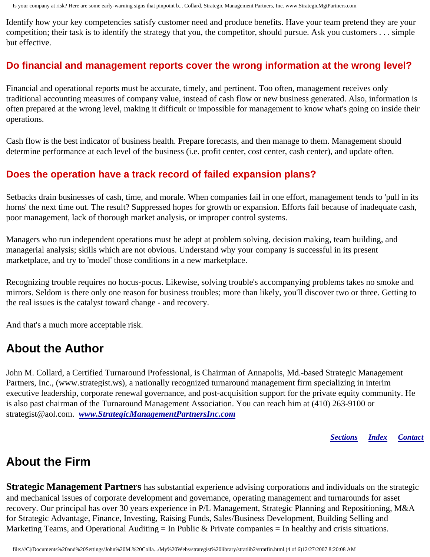Is your company at risk? Here are some early-warning signs that pinpoint b... Collard, Strategic Management Partners, Inc. www.StrategicMgtPartners.com

Identify how your key competencies satisfy customer need and produce benefits. Have your team pretend they are your competition; their task is to identify the strategy that you, the competitor, should pursue. Ask you customers . . . simple but effective.

#### **Do financial and management reports cover the wrong information at the wrong level?**

Financial and operational reports must be accurate, timely, and pertinent. Too often, management receives only traditional accounting measures of company value, instead of cash flow or new business generated. Also, information is often prepared at the wrong level, making it difficult or impossible for management to know what's going on inside their operations.

Cash flow is the best indicator of business health. Prepare forecasts, and then manage to them. Management should determine performance at each level of the business (i.e. profit center, cost center, cash center), and update often.

### **Does the operation have a track record of failed expansion plans?**

Setbacks drain businesses of cash, time, and morale. When companies fail in one effort, management tends to 'pull in its horns' the next time out. The result? Suppressed hopes for growth or expansion. Efforts fail because of inadequate cash, poor management, lack of thorough market analysis, or improper control systems.

Managers who run independent operations must be adept at problem solving, decision making, team building, and managerial analysis; skills which are not obvious. Understand why your company is successful in its present marketplace, and try to 'model' those conditions in a new marketplace.

Recognizing trouble requires no hocus-pocus. Likewise, solving trouble's accompanying problems takes no smoke and mirrors. Seldom is there only one reason for business troubles; more than likely, you'll discover two or three. Getting to the real issues is the catalyst toward change - and recovery.

And that's a much more acceptable risk.

## <span id="page-3-0"></span>**About the Author**

John M. Collard, a Certified Turnaround Professional, is Chairman of Annapolis, Md.-based Strategic Management Partners, Inc., (www.strategist.ws), a nationally recognized turnaround management firm specializing in interim executive leadership, corporate renewal governance, and post-acquisition support for the private equity community. He is also past chairman of the Turnaround Management Association. You can reach him at (410) 263-9100 or strategist@aol.com. *[www.StrategicManagementPartnersInc.com](http://www.strategicmanagementpartnersinc.com/)*

*[Sections](#page-0-2) [Index](#page-0-3) [Contact](#page-4-0)*

## <span id="page-3-1"></span>**About the Firm**

**Strategic Management Partners** has substantial experience advising corporations and individuals on the strategic and mechanical issues of corporate development and governance, operating management and turnarounds for asset recovery. Our principal has over 30 years experience in P/L Management, Strategic Planning and Repositioning, M&A for Strategic Advantage, Finance, Investing, Raising Funds, Sales/Business Development, Building Selling and Marketing Teams, and Operational Auditing = In Public & Private companies = In healthy and crisis situations.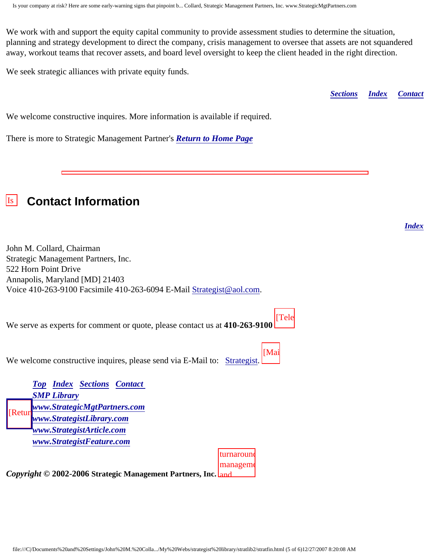We work with and support the equity capital community to provide assessment studies to determine the situation, planning and strategy development to direct the company, crisis management to oversee that assets are not squandered away, workout teams that recover assets, and board level oversight to keep the client headed in the right direction.

Is your company at risk? Here are some early-warning signs that pinpoint business

We seek strategic alliances with private equity funds.

*[Sections](#page-0-2) [Index](#page-0-3) [Contact](#page-4-0)*

*[Index](#page-0-3)*

We welcome constructive inquires. More information is available if required.

There is more to Strategic Management Partner's *[Return to Home Page](http://members.aol.com/strategist/home.html#TOP)*

# <span id="page-4-0"></span>**Example 2** Contact Information

risk? John M. Collard, Chairman Strategic Management Partners, Inc. 522 Horn Point Drive Annapolis, Maryland [MD] 21403 Voice 410-263-9100 Facsimile 410-263-6094 E-Mail **[Strategist@aol.com](mailto:Strategist@aol.com?subject=SMPlibrary/feature articles).** 

We serve as experts for comment or quote, please contact us at **410-263-9100** [Tele

 $\mathbf{u}$ We welcome constructive inquires, please send via E-Mail to: **Strategist**.

 $\sqrt{Top}$  $\sqrt{Top}$  $\sqrt{Top}$  *[Index](#page-0-3) [Sections](#page-0-2) [Contact](#page-4-0)* **[SMP Library](http://members.aol.com/stratlib3/libindx.html)** [Manag](#page-0-4)ement *[www.StrategicMgtPartners.com](http://www.strategicmgtpartners.com/)*  $\left|\frac{\text{Return}^{\text{max}}_{w}}{\text{max}}\right|$ Inc., published *[www.StrategistFeature.com](http://www.strategistfeature.com/) [www.StrategistLibrary.com](http://www.strategistlibrary.com/) [www.StrategistArticle.com](http://www.strategistarticle.com/)*



 $[Mai]$ 

 $\overline{a}$   $\cdot$ *Copyright* © 2002-2006 Strategic Management Partners, Inc. **and**